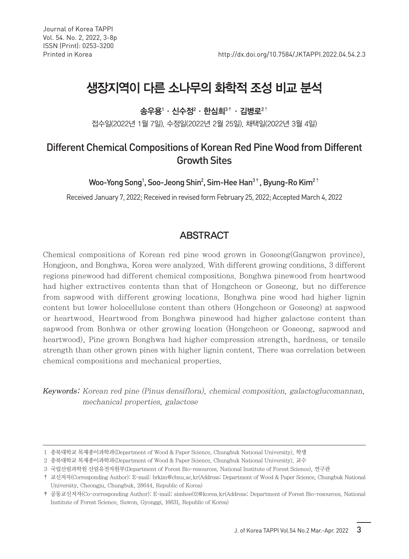# 생장지역이 다른 소나무의 화학적 조성 비교 분석

송우용' · 신수정 $^2$  · 한심희 $^{3\, \dagger}$  · 김병로 $^{2\, \dagger}$ 

접수일(2022년 1월 7일), 수정일(2022년 2월 25일), 채택일(2022년 3월 4일)

## Different Chemical Compositions of Korean Red Pine Wood from Different Growth Sites

Woo-Yong Song $^1$ , Soo-Jeong Shin $^2$ , Sim-Hee Han $^{3\,\dagger}$ , Byung-Ro Kim $^{2\,\dagger}$ 

Received January 7, 2022; Received in revised form February 25, 2022; Accepted March 4, 2022

## **ABSTRACT**

Chemical compositions of Korean red pine wood grown in Goseong(Gangwon province), Hongjeon, and Bonghwa, Korea were analyzed. With different growing conditions, 3 different regions pinewood had different chemical compositions. Bonghwa pinewood from heartwood had higher extractives contents than that of Hongcheon or Goseong, but no difference from sapwood with different growing locations. Bonghwa pine wood had higher lignin content but lower holocellulose content than others (Hongcheon or Goseong) at sapwood or heartwood. Heartwood from Bonghwa pinewood had higher galactose content than sapwood from Bonhwa or other growing location (Hongcheon or Goseong, sapwood and heartwood), Pine grown Bonghwa had higher compression strength, hardness, or tensile strength than other grown pines with higher lignin content. There was correlation between chemical compositions and mechanical properties.

Keywords: Korean red pine (Pinus densiflora), chemical composition, galactoglucomannan, mechanical properties, galactose

<sup>1</sup> 충북대학교 목재종이과학과(Department of Wood & Paper Science, Chungbuk National University), 학생

<sup>2</sup> 충북대학교 목재종이과학과(Department of Wood & Paper Science, Chungbuk National University), 교수

<sup>3</sup> 국립산림과학원 산림유전자원부(Department of Forest Bio-resources, National Institute of Forest Science), 연구관

<sup>†</sup> 교신저자(Corresponding Author): E-mail: brkim@cbnu.ac.kr(Address: Department of Wood & Paper Science, Chungbuk National University, Cheongju, Chungbuk, 28644, Republic of Korea)

<sup>‡</sup> 공동교신저자(Co-corresponding Author): E-mail: simhee02@korea.kr(Address: Department of Forest Bio-resources, National Institute of Forest Science, Suwon, Gyonggi, 16631, Republic of Korea)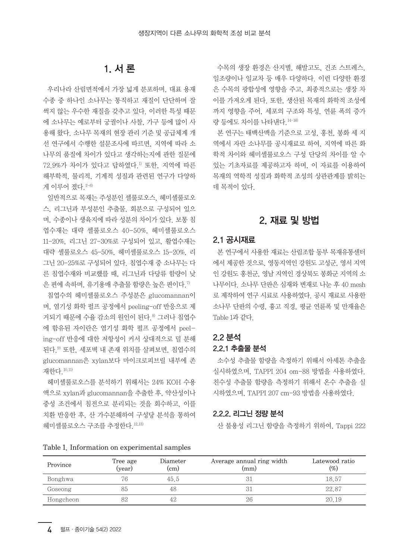## 1. 서 론

우리나라 산림면적에서 가장 넓게 분포하며, 대표 용재 수종 중 하나인 소나무는 통직하고 재질이 단단하며 잘 썩지 않는 우수한 재질을 갖추고 있다. 이러한 특성 때문 에 소나무는 예로부터 궁궐이나 사찰, 가구 등에 많이 사 용해 왔다. 소나무 목재의 현장 관리 기준 및 공급체계 개 선 연구에서 수행한 설문조사에 따르면, 지역에 따라 소 나무의 품질에 차이가 있다고 생각하는지에 관한 질문에  $72.9\%$ 가 차이가 있다고 답하였다.<sup>1)</sup> 또한, 지역에 따른 해부학적, 물리적, 기계적 성질과 관련된 연구가 다양하 게 이루어 졌다. 2-6)

일반적으로 목재는 주성분인 셀룰로오스, 헤미셀룰로오 스, 리그닌과 부성분인 추출물, 회분으로 구성되어 있으 며, 수종이나 생육지에 따라 성분의 차이가 있다. 보통 침 엽수재는 대략 셀룰로오스 40-50%, 헤미셀룰로오스 11-20%, 리그닌 27-30%로 구성되어 있고, 활엽수재는 대략 셀룰로오스 45-50%, 헤미셀룰로오스 15-20%, 리 그닌 20-25%로 구성되어 있다. 침엽수재 중 소나무는 다 른 침엽수재와 비교했를 때, 리그닌과 다당류 함량이 낮 은 편에 속하며, 유기용매 추출물 함량은 높은 편이다.<sup>7)</sup>

침엽수의 헤미셀룰로오스 주성분은 glucomannan이 며, 염기성 화학 펄프 공정에서 peeling-off 반응으로 제 거되기 때문에 수율 감소의 원인이 된다.8) 그러나 침엽수 에 함유된 자이란은 염기성 화학 펄프 공정에서 peeling-off 반응에 대한 저항성이 커서 상대적으로 덜 분해 된다.9) 또한, 세포벽 내 존재 위치를 살펴보면, 침엽수의 glucomannan은 xylan보다 마이크로피브릴 내부에 존 재한다.10,11)

헤미셀룰로오스를 분석하기 위해서는 24% KOH 수용 액으로 xylan과 glucomannan을 추출한 후, 약산성이나 중성 조건에서 침전으로 분리되는 것을 회수하고, 이를 치환 반응한 후, 산 가수분해하여 구성당 분석을 통하여 헤미셀룰로오스 구조를 추정한다.12,13)

Table 1. Information on experimental samples

수목의 생장 환경은 산지별, 해발고도, 건조 스트레스, 일조량이나 일교차 등 매우 다양하다. 이런 다양한 환경 은 수목의 광합성에 영향을 주고, 최종적으로는 생장 차 이를 가져오게 된다. 또한, 생산된 목재의 화학적 조성에 까지 영향을 주어, 세포의 구조와 특성, 연륜 폭의 증가 량 등에도 차이를 나타낸다.14-16)

본 연구는 태백산맥을 기준으로 고성, 홍천, 봉화 세 지 역에서 자란 소나무를 공시재료로 하여, 지역에 따른 화 학적 차이와 헤미셀룰로오스 구성 단당의 차이를 알 수 있는 기초자료를 제공하고자 하며, 이 자료를 이용하여 목재의 역학적 성질과 화학적 조성의 상관관계를 밝히는 데 목적이 있다.

## 2. 재료 및 방법

#### 2.1 공시재료

본 연구에서 사용한 재료는 산림조합 동부 목재유통센터 에서 제공한 것으로, 영동지역인 강원도 고성군, 영서 지역 인 강원도 홍천군, 영남 지역인 경상북도 봉화군 지역의 소 나무이다. 소나무 단판은 심재와 변재로 나눈 후 40 mesh 로 제작하여 연구 시료로 사용하였다. 공시 재료로 사용한 소나무 단판의 수령, 흉고 직경, 평균 연륜폭 및 만재율은 Table 1과 같다.

### 2.2 분석 2.2.1 추출물 분석

소수성 추출물 함량을 측정하기 위해서 아세톤 추출을 실시하였으며, TAPPI 204 om-88 방법을 사용하였다. 친수성 추출물 함량을 측정하기 위해서 온수 추출을 실 시하였으며, TAPPI 207 cm-93 방법을 사용하였다.

#### 2.2.2. 리그닌 정량 분석

산 불용성 리그닌 함량을 측정하기 위하여, Tappi 222

| Province  | Tree age<br>(year) | Diameter<br>$\rm (cm)$ | Average annual ring width<br>$\text{(mm)}$ | Latewood ratio<br>$(\%)$ |  |
|-----------|--------------------|------------------------|--------------------------------------------|--------------------------|--|
| Bonghwa   | 76                 | 45.5                   |                                            | 18.57                    |  |
| Goseong   | 85                 | 48                     |                                            | 22.87                    |  |
| Hongcheon | 82                 | 42                     | 26                                         | 20.19                    |  |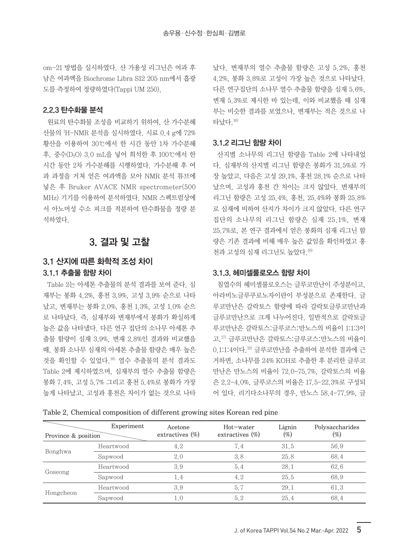om-21 방법을 실시하였다. 산 가용성 리그닌은 여과 후 남은 여과액을 Biochrome Libra S12 205 nm에서 흡광 도를 측정하여 정량하였다(Tappi UM 250).

#### 2.2.3 탄수화물 분석

원료의 탄수화물 조성을 비교하기 위하여, 산 가수분해 산물의 1 H-NMR 분석을 실시하였다. 시료 0.4 g에 72% 황산을 이용하여 30℃에서 한 시간 동안 1차 가수분해 후, 중수(D2O) 3.0 mL을 넣어 희석한 후 100℃에서 한 시간 동안 2차 가수분해를 시행하였다. 가수분해 후 여 과 과정을 거쳐 얻은 여과액을 모아 NMR 분석 튜브에 넣은 후 Bruker AVACE NMR spectrometer(500 MHz) 기기를 이용하여 분석하였다. NMR 스펙트럼상에 서 아노머성 수소 피크를 적분하여 탄수화물을 정량 분 석하였다.

## 3. 결과 및 고찰

## 3.1 산지에 따른 화학적 조성 차이 3.1.1 추출물 함량 차이

Table 2는 아세톤 추출물의 분석 결과를 보여 준다. 심 재부는 봉화 4.2%, 홍천 3.9%, 고성 3.9% 순으로 나타 났고, 변재부는 봉화 2.0%, 홍천 1.3%, 고성 1.0% 순으 로 나타났다. 즉, 심재부와 변재부에서 봉화가 확실하게 높은 값을 나타냈다. 다른 연구 집단의 소나무 아세톤 추 출물 함량이 심재 3.9%, 변재 2.8%인 결과와 비교했을 때, 봉화 소나무 심재의 아세톤 추출물 함량은 매우 높은 것을 확인할 수 있었다.16) 열수 추출물의 분석 결과도 Table 2에 제시하였으며, 심재부의 열수 추출물 함량은 봉화 7.4%, 고성 5.7% 그리고 홍천 5.4%로 봉화가 가장 높게 나타났고, 고성과 홍천은 차이가 없는 것으로 나타 났다. 변재부의 열수 추출물 함량은 고성 5.2%, 홍천 4.2%, 봉화 3.8%로 고성이 가장 높은 것으로 나타났다. 다른 연구집단의 소나무 열수 추출물 함량을 심재 5.6%, 변재 5.3%로 제시한 바 있는데, 이와 비교했을 때 심재 부는 비슷한 결과를 보였으나, 변재부는 적은 것으로 나 타났다.16)

#### 3.1.2 리그닌 함량 차이

산지별 소나무의 리그닌 함량을 Table 2에 나타내었 다. 심재부의 산지별 리그닌 함량은 봉화가 31.5%로 가 장 높았고, 다음은 고성 29.1%, 홍천 28.1% 순으로 나타 났으며, 고성과 홍천 간 차이는 크지 않았다. 변재부의 리그닌 함량은 고성 25.4%, 홍천, 25.4%와 봉화 25.8% 로 심재에 비하여 산지가 차이가 크지 않았다. 다른 연구 집단의 소나무의 리그닌 함량은 심재 25.1%, 변재 25.7%로, 본 연구 결과에서 얻은 봉화의 심재 리그닌 함 량은 기존 결과에 비해 매우 높은 값임을 확인하였고 홍 천과 고성의 심재 리그닌도 높았다.16)

#### 3.1.3. 헤미셀룰로오스 함량 차이

침엽수의 헤미셀룰로오스는 글루코만난이 주성분이고, 아라비노글루쿠로노자이란이 부성분으로 존재한다. 글 루코만난은 갈락토스 함량에 따라 갈락토글루코만난과 글루코만난으로 크게 나누어진다. 일반적으로 갈락토글 루코만난은 갈락토스:글루코스:만노스의 비율이 1:1:3이 고,17) 글루코만난은 갈락토스:글루코스:만노스의 비율이 0.1:1:4이다.18) 글루코만난을 추출하여 분석한 결과에 근 거하면, 소나무를 24% KOH로 추출한 후 분리한 글루코 만난은 만노스의 비율이 72.0-75.7%, 갈락토스의 비율 은 2.2-4.0%, 글루코스의 비율은 17.5-22.3%로 구성되 어 있다. 리기다소나무의 경우, 만노스 58.4-77.9%, 글

|                     | Experiment | Acetone            | Hot-water          | Lignin | Polysaccharides |  |
|---------------------|------------|--------------------|--------------------|--------|-----------------|--|
| Province & position |            | extractives $(\%)$ | extractives $(\%)$ | $(\%)$ | $(\% )$         |  |
| Bonghwa             | Heartwood  | 4.2                | 7.4                | 31.5   | 56.9            |  |
|                     | Sapwood    | 2.0                | 3.8                | 25.8   | 68.4            |  |
| Goseong             | Heartwood  | 3.9                | 5.4                | 28.1   | 62.6            |  |
|                     | Sapwood    | 1.4                | 4.2                | 25.5   | 68.9            |  |
| Hongcheon           | Heartwood  | 3.9                | 5.7                | 29.1   | 61.3            |  |
|                     | Sapwood    | 1.0                | 5.2                | 25.4   | 68.4            |  |

Table 2. Chemical composition of different growing sites Korean red pine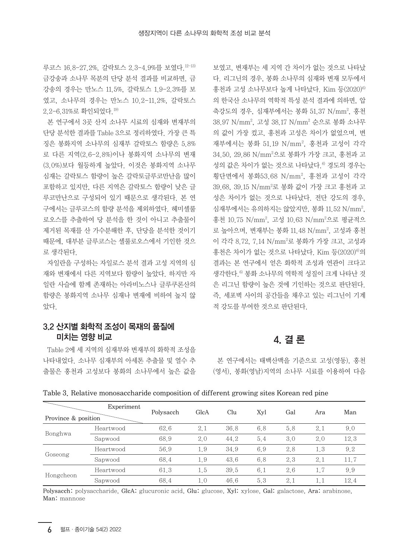루코스 16.8-27.2%, 갈락토스 2.3-4.9%를 보였다.12-13) 금강송과 소나무 목분의 단당 분석 결과를 비교하면, 금 강송의 경우는 만노스 11.5%, 갈락토스 1.9-2.3%를 보 였고, 소나무의 경우는 만노스 10.2-11.2%, 갈락토스 2.2-6.31%로 확인되었다.19)

본 연구에서 3곳 산지 소나무 시료의 심재와 변재부의 단당 분석한 결과를 Table 3으로 정리하였다. 가장 큰 특 징은 봉화지역 소나무의 심재부 갈락토스 함량은 5.8% 로 다른 지역(2.6-2.8%)이나 봉화지역 소나무의 변재 (3.0%)보다 월등하게 높았다. 이것은 봉화지역 소나무 심재는 갈락토스 함량이 높은 갈락토글루코만난을 많이 포함하고 있지만, 다른 지역은 갈락토스 함량이 낮은 글 루코만난으로 구성되어 있기 때문으로 생각된다. 본 연 구에서는 글루코스의 함량 분석을 제외하였다. 헤미셀룰 로오스를 추출하여 당 분석을 한 것이 아니고 추출물이 제거된 목재를 산 가수분해한 후, 단당을 분석한 것이기 때문에, 대부분 글루코스는 셀룰로오스에서 기인한 것으 로 생각된다.

자일란을 구성하는 자일로스 분석 결과 고성 지역의 심 재와 변재에서 다른 지역보다 함량이 높았다. 하지만 자 일란 사슬에 함께 존재하는 아라비노스나 글루쿠론산의 함량은 봉화지역 소나무 심재나 변재에 비하여 높지 않 았다.

### 3.2 산지별 화학적 조성이 목재의 품질에 미치는 영향 비교

Table 2에 세 지역의 심재부와 변재부의 화학적 조성을 나타내었다. 소나무 심재부의 아세톤 추출물 및 열수 추 출물은 홍천과 고성보다 봉화의 소나무에서 높은 값을 보였고, 변재부는 세 지역 간 차이가 없는 것으로 나타났 다. 리그닌의 경우, 봉화 소나무의 심재와 변재 모두에서 홍천과 고성 소나무보다 높게 나타났다. Kim 등(2020)6) 의 한국산 소나무의 역학적 특성 분석 결과에 의하면, 압 축강도의 경우, 심재부에서는 봉화 51.37 N/mm², 홍천 38.97 N/mm2 , 고성 38.17 N/mm2 순으로 봉화 소나무 의 값이 가장 컸고, 홍천과 고성은 차이가 없었으며, 변 재부에서는 봉화 51.19 N/mm², 홍천과 고성이 각각 34.50, 29.86 N/mm2 으로 봉화가 가장 크고, 홍천과 고 성의 값은 차이가 없는 것으로 나타났다.<sup>6)</sup> 경도의 경우는 횡단면에서 봉화53.68 N/mm², 홍천과 고성이 각각 39.68, 39.15 N/mm²로 봉화 값이 가장 크고 홍천과 고 성은 차이가 없는 것으로 나타났다. 전단 강도의 경우, 심재부에서는 유의하지는 않았지만, 봉화 11.52 N/mm², 홍천 10.75 N/mm², 고성 10.63 N/mm²으로 평균적으 로 높아으며, 변재부는 봉화 11.48 N/mm², 고성과 홍천 이 각각 8.72, 7.14 N/mm²로 봉화가 가장 크고, 고성과 홍천은 차이가 없는 것으로 나타났다. Kim 등(2020)6)의 결과는 본 연구에서 얻은 화학적 조성과 연관이 크다고 생각한다.<sup>6)</sup> 봉화 소나무의 역학적 성질이 크게 나타난 것 은 리그닌 함량이 높은 것에 기인하는 것으로 판단된다. 즉, 세포벽 사이의 공간들을 채우고 있는 리그닌이 기계 적 강도를 부여한 것으로 판단된다.

## 4. 결 론

본 연구에서는 태백산맥을 기준으로 고성(영동), 홍천 (영서), 봉화(영남)지역의 소나무 시료를 이용하여 다음

|                     | Experiment |           |      |      |     |     |         |      |
|---------------------|------------|-----------|------|------|-----|-----|---------|------|
| Province & position |            | Polysacch | GlcA | Clu  | Xyl | Gal | Ara     | Man  |
| Bonghwa             | Heartwood  | 62.6      | 2.1  | 36.8 | 6.8 | 5.8 | 2.1     | 9.0  |
|                     | Sapwood    | 68.9      | 2.0  | 44.2 | 5.4 | 3.0 | 2.0     | 12.3 |
| Goseong             | Heartwood  | 56.9      | 1.9  | 34.9 | 6.9 | 2.8 | 1.3     | 9.2  |
|                     | Sapwood    | 68.4      | 1.9  | 43.6 | 6.8 | 2.3 | 2.1     | 11.7 |
| Hongcheon           | Heartwood  | 61.3      | 1.5  | 39.5 | 6.1 | 2.6 | 1.7     | 9.9  |
|                     | Sapwood    | 68.4      | 1.0  | 46.6 | 5.3 | 2.1 | $1.1\,$ | 12.4 |

Table 3. Relative monosaccharide composition of different growing sites Korean red pine

Polysacch: polysaccharide, GlcA: glucuronic acid, Glu: glucose, Xyl: xylose, Gal: galactose, Ara: arabinose, Man: mannose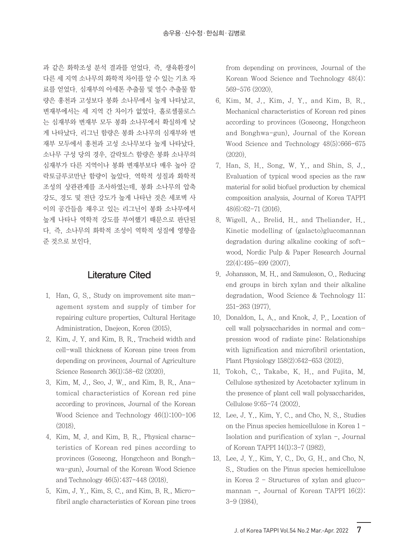과 같은 화학조성 분석 결과를 얻었다. 즉, 생육환경이 다른 세 지역 소나무의 화학적 차이를 알 수 있는 기초 자 료를 얻었다. 심재부의 아세톤 추출물 및 열수 추출물 함 량은 홍천과 고성보다 봉화 소나무에서 높게 나타났고, 변재부에서는 세 지역 간 차이가 없었다. 홀로셀룰로스 는 심재부와 변재부 모두 봉화 소나무에서 확실하게 낮 게 나타났다. 리그닌 함량은 봉화 소나무의 심재부와 변 재부 모두에서 홍천과 고성 소나무보다 높게 나타났다. 소나무 구성 당의 경우, 갈락토스 함량은 봉화 소나무의 심재부가 다른 지역이나 봉화 변재부보다 매우 높아 갈 락토글루코만난 함량이 높았다. 역학적 성질과 화학적 조성의 상관관계를 조사하였는데, 봉화 소나무의 압축 강도, 경도 및 전단 강도가 높게 나타난 것은 세포벽 사 이의 공간들을 채우고 있는 리그닌이 봉화 소나무에서 높게 나타나 역학적 강도를 부여했기 때문으로 판단된 다. 즉, 소나무의 화학적 조성이 역학적 성질에 영향을 준 것으로 보인다.

## Literature Cited

- 1. Han, G. S., Study on improvement site management system and supply of timber for repairing culture properties, Cultural Heritage Administration, Daejeon, Korea (2015).
- 2. Kim, J. Y. and Kim, B. R., Tracheid width and cell-wall thickness of Korean pine trees from depending on provinces, Journal of Agriculture Science Research 36(1):58-62 (2020).
- 3. Kim, M. J., Seo, J. W., and Kim, B. R., Anatomical characteristics of Korean red pine according to provinces, Journal of the Korean Wood Science and Technology 46(1):100-106 (2018).
- 4. Kim, M. J. and Kim, B. R., Physical characteristics of Korean red pines according to provinces (Goseong, Hongcheon and Bonghwa-gun), Journal of the Korean Wood Science and Technology 46(5):437-448 (2018).
- 5. Kim, J. Y., Kim, S. C., and Kim, B. R., Microfibril angle characteristics of Korean pine trees

from depending on provinces, Journal of the Korean Wood Science and Technology 48(4): 569-576 (2020).

- 6. Kim, M. J., Kim, J. Y., and Kim, B. R., Mechanical characteristics of Korean red pines according to provinces (Goseong, Hongcheon and Bonghwa-gun), Journal of the Korean Wood Science and Technology 48(5):666-675 (2020).
- 7. Han, S. H., Song, W. Y., and Shin, S. J., Evaluation of typical wood species as the raw material for solid biofuel production by chemical composition analysis, Journal of Korea TAPPI 48(6):62-71 (2016).
- 8. Wigell, A., Brelid, H., and Theliander, H., Kinetic modelling of (galacto)glucomannan degradation during alkaline cooking of softwood, Nordic Pulp & Paper Research Journal 22(4):495-499 (2007).
- 9. Johansson, M. H., and Samuleson, O., Reducing end groups in birch xylan and their alkaline degradation, Wood Science & Technology 11: 251-263 (1977).
- 10. Donaldon, L. A., and Knok, J. P., Location of cell wall polysaccharides in normal and compression wood of radiate pine: Relationships with lignification and microfibril orientation, Plant Physiology 158(2):642-653 (2012).
- 11. Tokoh, C., Takabe, K. H., and Fujita, M. Cellulose sythesized by Acetobacter xylinum in the presence of plant cell wall polysaccharides, Cellulose 9:65-74 (2002).
- 12. Lee, J. Y., Kim, Y. C., and Cho, N. S., Studies on the Pinus species hemicellulose in Korea 1 - Isolation and purification of xylan -, Journal of Korean TAPPI 14(1):3-7 (1982).
- 13. Lee, J. Y., Kim, Y. C., Do, G. H., and Cho, N. S., Studies on the Pinus species hemicellulose in Korea 2 - Structures of xylan and glucomannan -, Journal of Korean TAPPI 16(2): 3-9 (1984).